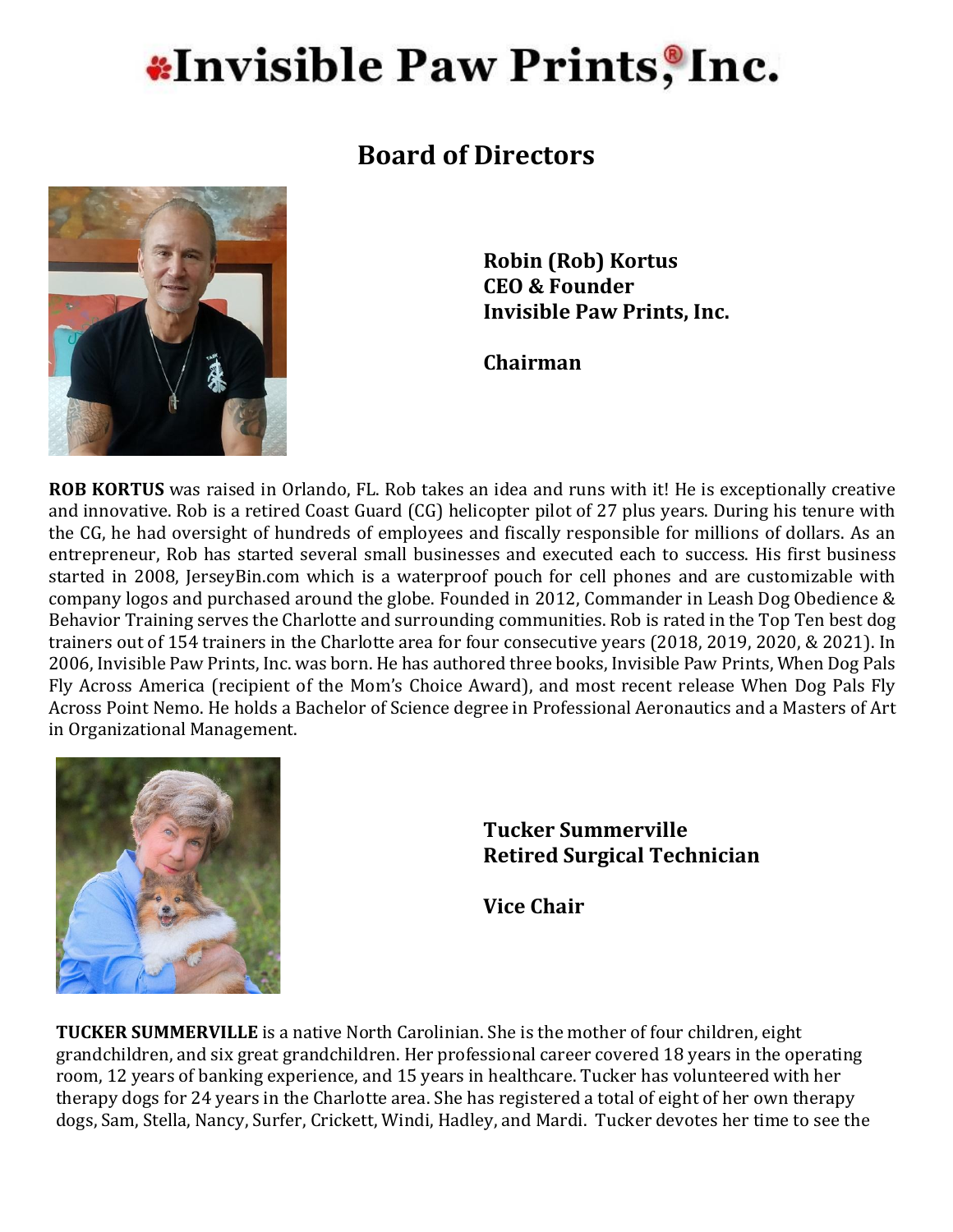## **\*Invisible Paw Prints, Inc.**

### **Board of Directors**



**Robin (Rob) Kortus CEO & Founder Invisible Paw Prints, Inc.**

**Chairman**

**ROB KORTUS** was raised in Orlando, FL. Rob takes an idea and runs with it! He is exceptionally creative and innovative. Rob is a retired Coast Guard (CG) helicopter pilot of 27 plus years. During his tenure with the CG, he had oversight of hundreds of employees and fiscally responsible for millions of dollars. As an entrepreneur, Rob has started several small businesses and executed each to success. His first business started in 2008, JerseyBin.com which is a waterproof pouch for cell phones and are customizable with company logos and purchased around the globe. Founded in 2012, Commander in Leash Dog Obedience & Behavior Training serves the Charlotte and surrounding communities. Rob is rated in the Top Ten best dog trainers out of 154 trainers in the Charlotte area for four consecutive years (2018, 2019, 2020, & 2021). In 2006, Invisible Paw Prints, Inc. was born. He has authored three books, Invisible Paw Prints, When Dog Pals Fly Across America (recipient of the Mom's Choice Award), and most recent release When Dog Pals Fly Across Point Nemo. He holds a Bachelor of Science degree in Professional Aeronautics and a Masters of Art in Organizational Management.



#### **Tucker Summerville Retired Surgical Technician**

**Vice Chair**

**TUCKER SUMMERVILLE** is a native North Carolinian. She is the mother of four children, eight grandchildren, and six great grandchildren. Her professional career covered 18 years in the operating room, 12 years of banking experience, and 15 years in healthcare. Tucker has volunteered with her therapy dogs for 24 years in the Charlotte area. She has registered a total of eight of her own therapy dogs, Sam, Stella, Nancy, Surfer, Crickett, Windi, Hadley, and Mardi. Tucker devotes her time to see the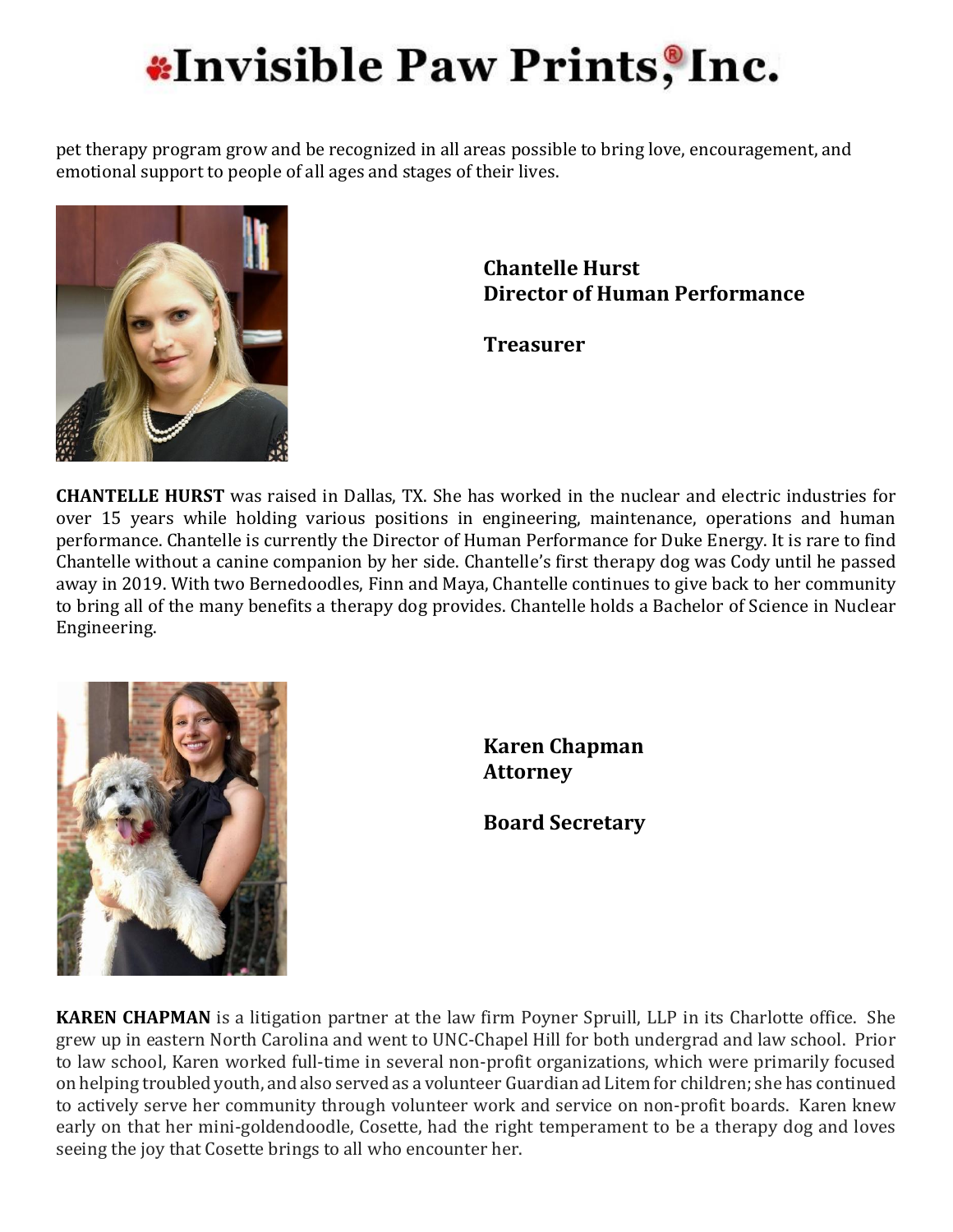# **\*Invisible Paw Prints, Inc.**

pet therapy program grow and be recognized in all areas possible to bring love, encouragement, and emotional support to people of all ages and stages of their lives.



**Chantelle Hurst Director of Human Performance**

**Treasurer**

**CHANTELLE HURST** was raised in Dallas, TX. She has worked in the nuclear and electric industries for over 15 years while holding various positions in engineering, maintenance, operations and human performance. Chantelle is currently the Director of Human Performance for Duke Energy. It is rare to find Chantelle without a canine companion by her side. Chantelle's first therapy dog was Cody until he passed away in 2019. With two Bernedoodles, Finn and Maya, Chantelle continues to give back to her community to bring all of the many benefits a therapy dog provides. Chantelle holds a Bachelor of Science in Nuclear Engineering.



**Karen Chapman Attorney**

**Board Secretary**

**KAREN CHAPMAN** is a litigation partner at the law firm Poyner Spruill, LLP in its Charlotte office. She grew up in eastern North Carolina and went to UNC-Chapel Hill for both undergrad and law school. Prior to law school, Karen worked full-time in several non-profit organizations, which were primarily focused on helping troubled youth, and also served as a volunteer Guardian ad Litem for children; she has continued to actively serve her community through volunteer work and service on non-profit boards. Karen knew early on that her mini-goldendoodle, Cosette, had the right temperament to be a therapy dog and loves seeing the joy that Cosette brings to all who encounter her.